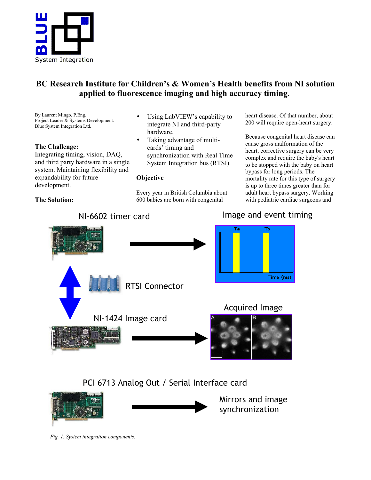

## **BC Research Institute for Children's & Women's Health benefits from NI solution applied to fluorescence imaging and high accuracy timing.**

By Laurent Mingo, P.Eng. Project Leader & Systems Development. Blue System Integration Ltd.

## **The Challenge:**

**The Solution:**

Integrating timing, vision, DAQ, and third party hardware in a single system. Maintaining flexibility and expandability for future development.

- Using LabVIEW's capability to integrate NI and third-party hardware.
- Taking advantage of multicards' timing and synchronization with Real Time System Integration bus (RTSI).

## **Objective**

Every year in British Columbia about 600 babies are born with congenital

heart disease. Of that number, about 200 will require open-heart surgery.

Because congenital heart disease can cause gross malformation of the heart, corrective surgery can be very complex and require the baby's heart to be stopped with the baby on heart bypass for long periods. The mortality rate for this type of surgery is up to three times greater than for adult heart bypass surgery. Working with pediatric cardiac surgeons and



# PCI 6713 Analog Out / Serial Interface card



Mirrors and image synchronization

*Fig. 1. System integration components.*